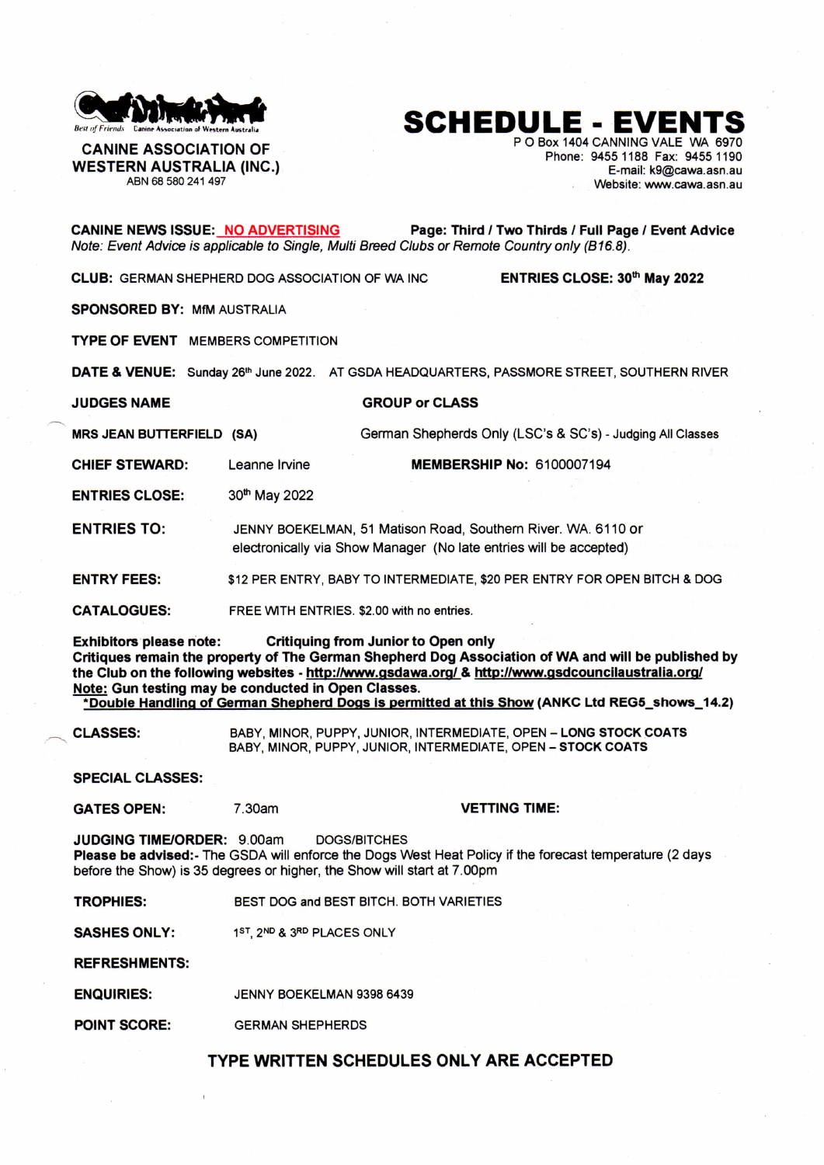

## **SCHEDULE - EVENTS**

**CANINE ASSOCIATION OF WESTERN AUSTRALIA (INC.)**  ABN 68 580 241 497

P O Box 1404 CANNING VALE WA 6970 Phone: 9455 1188 Fax: 9455 1190 E-mail: k9@cawa.asn.au Website; www.cawa.asn.au

**CANINE NEW S ISSUE : NO ADVERTISIN G Page: Third / Two Thirds / Full Page / Event Advice**  Note: Event Advice is applicable to Single, Multi Breed Clubs or Remote Country only (B16.8). *Note: Event Advice is applicable to Single, Multi Breed Clubs or Remote Country only (B16.8).*  **CLUB: GERMAN SHEPHERD DOG ASSOCIATION OF WA INC.** ENTRIES CLOSE: 30th May 2022 **CLUB :** GERMAN SHEPHER D DOG ASSOCIATION OF WA INC **ENTRIE S CLOSE : 30 \* May 2022 SPONSORED BY: MfM AUSTRALIA** TYPE OF EVENT MEMBERS COMPETITION **DAT E & VENUE :** Sunday 26\* June 2022. AT GSDA HEADQUARTERS, PASSMOR E STREET , SOUTHER N RIVER **GROUP or CLASS MRS JEAN BUTTERFIELD (SA)** German Shepherds Only (ISO' s & SOs ) - Judging All Classes **CHIEF STEWARD:** Leanne Irvine **MEMBERSHIP No: 6100007194 ENTRIES CLOSE:** 3 0 \* May 2022 **ENTRIES TO:** JENNY BOEKELMAN, 51 Matison Road, Southern River. WA. 6110 or electronically via Show Manager (No late entries will be accepted) **ENTRY FEES:** \$12 PER ENTRY, BABY TO INTERMEDIATE, \$20 PER ENTRY FOR OPEN BITCH & DOG **CATALOGUES :**  FREE WITH ENTRIES. \$2.00 with no entries. **Exhibitors please note: Critiquing from Junior to Open only Critiques remain the property of The German Shepherd Dog Association of WA and will be published by the Club on the following websites - http://www.qsdawa.org/ & http://vyww.qsdcouncilaustralia.orq/ Note: Gun testing may be conducted in Open Classes. 'Double Handling of German Shepherd Dogs is permitted at this Show (ANKC Ltd REG5\_shows\_14.2) CLASSES :**  BABY, MINOR, PUPPY, JUNIOR, INTERMEDIATE, OPEN - **LONG STOCK COATS**  BABY, MINOR, PUPPY, JUNIOR, INTERMEDIATE, OPEN - **STOCK COATS SPECIAL CLASSES: GATES OPEN:** 7.30am **VETTING TIME: JUDGING TIME/ORDER: 9.00am DOGS/BITCHES Please be advised:**- The GSDA will enforce the Dogs West Heat Policy if the forecast temperature (2 days before the Show) is 35 degrees or higher, the Show will start at 7.00pm **TROPHIES :**  BEST DOG and BEST BITCH, BOTH VARIETIES **SASHES ONLY:** 1<sup>ST</sup>, 2<sup>ND</sup> & 3RD PLACES ONLY **REFRESHMENTS : ENQUIRIES:**  JENNY BOEKELMAN 9398 6439 **POINT SCORE: GERMAN SHEPHERDS TYPE WRITTEN SCHEDULES ONLY ARE ACCEPTED**